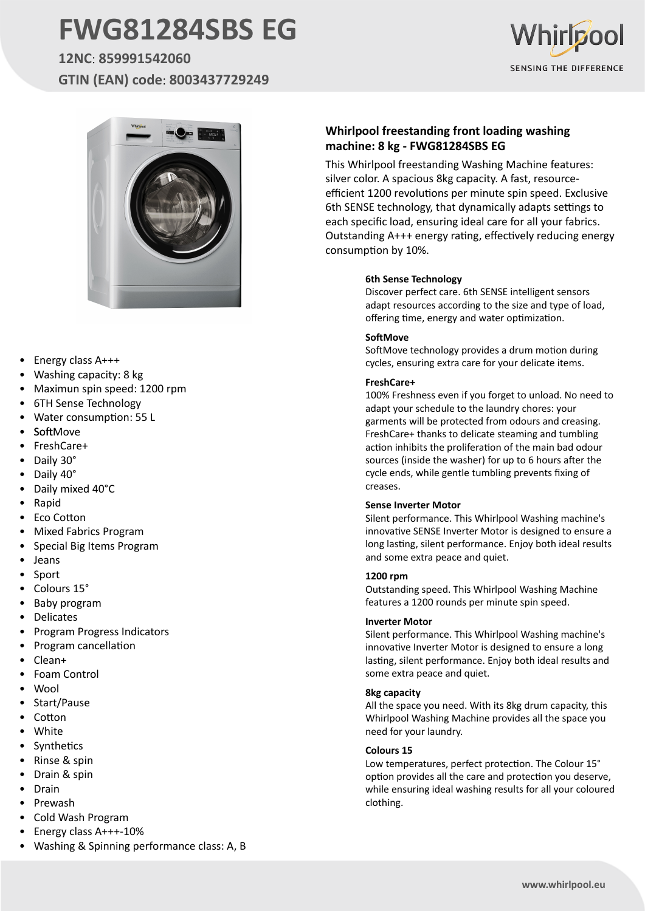# **FWG81284SBS EG**

**12NC**: **859991542060 GTIN (EAN) code**: **8003437729249**





- Energy class A+++
- Washing capacity: 8 kg
- Maximun spin speed: 1200 rpm
- 6TH Sense Technology
- Water consumption: 55 L
- **SoftMove**
- FreshCare+
- Daily 30°
- Daily 40°
- Daily mixed 40°C
- Rapid
- Eco Cotton
- Mixed Fabrics Program
- Special Big Items Program
- Jeans
- **Sport**
- Colours 15°
- Baby program
- **Delicates**
- Program Progress Indicators
- Program cancellation
- Clean+
- Foam Control
- Wool
- Start/Pause
- **Cotton**
- **White**
- **Synthetics**
- Rinse & spin
- Drain & spin
- Drain
- Prewash
- Cold Wash Program
- Energy class A+++-10%
- Washing & Spinning performance class: A, B

### **Whirlpool freestanding front loading washing machine: 8 kg - FWG81284SBS EG**

This Whirlpool freestanding Washing Machine features: silver color. A spacious 8kg capacity. A fast, resourceefficient 1200 revolutions per minute spin speed. Exclusive 6th SENSE technology, that dynamically adapts settings to each specific load, ensuring ideal care for all your fabrics. Outstanding A+++ energy rating, effectively reducing energy consumption by 10%.

#### **6th Sense Technology**

Discover perfect care. 6th SENSE intelligent sensors adapt resources according to the size and type of load, offering time, energy and water optimization.

#### **SoftMove**

SoftMove technology provides a drum motion during cycles, ensuring extra care for your delicate items.

#### **FreshCare+**

100% Freshness even if you forget to unload. No need to adapt your schedule to the laundry chores: your garments will be protected from odours and creasing. FreshCare+ thanks to delicate steaming and tumbling action inhibits the proliferation of the main bad odour sources (inside the washer) for up to 6 hours after the cycle ends, while gentle tumbling prevents fixing of creases.

#### **Sense Inverter Motor**

Silent performance. This Whirlpool Washing machine's innovative SENSE Inverter Motor is designed to ensure a long lasting, silent performance. Enjoy both ideal results and some extra peace and quiet.

#### **1200 rpm**

Outstanding speed. This Whirlpool Washing Machine features a 1200 rounds per minute spin speed.

#### **Inverter Motor**

Silent performance. This Whirlpool Washing machine's innovative Inverter Motor is designed to ensure a long lasting, silent performance. Enjoy both ideal results and some extra peace and quiet.

#### **8kg capacity**

All the space you need. With its 8kg drum capacity, this Whirlpool Washing Machine provides all the space you need for your laundry.

#### **Colours 15**

Low temperatures, perfect protection. The Colour 15° option provides all the care and protection you deserve, while ensuring ideal washing results for all your coloured clothing.